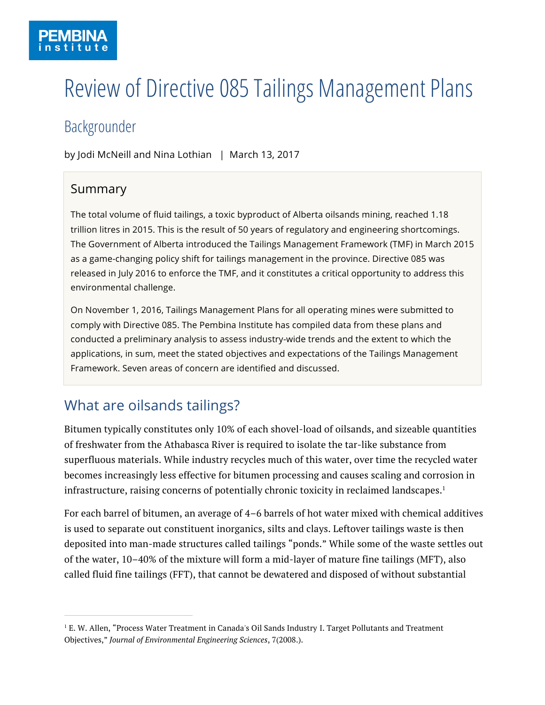# Review of Directive 085 Tailings Management Plans

## Backgrounder

by Jodi McNeill and Nina Lothian | March 13, 2017

### Summary

 $\overline{a}$ 

The total volume of fluid tailings, a toxic byproduct of Alberta oilsands mining, reached 1.18 trillion litres in 2015. This is the result of 50 years of regulatory and engineering shortcomings. The Government of Alberta introduced the Tailings Management Framework (TMF) in March 2015 as a game-changing policy shift for tailings management in the province. Directive 085 was released in July 2016 to enforce the TMF, and it constitutes a critical opportunity to address this environmental challenge.

On November 1, 2016, Tailings Management Plans for all operating mines were submitted to comply with Directive 085. The Pembina Institute has compiled data from these plans and conducted a preliminary analysis to assess industry-wide trends and the extent to which the applications, in sum, meet the stated objectives and expectations of the Tailings Management Framework. Seven areas of concern are identified and discussed.

### What are oilsands tailings?

Bitumen typically constitutes only 10% of each shovel-load of oilsands, and sizeable quantities of freshwater from the Athabasca River is required to isolate the tar-like substance from superfluous materials. While industry recycles much of this water, over time the recycled water becomes increasingly less effective for bitumen processing and causes scaling and corrosion in infrastructure, raising concerns of potentially chronic toxicity in reclaimed landscapes. $1$ 

For each barrel of bitumen, an average of 4–6 barrels of hot water mixed with chemical additives is used to separate out constituent inorganics, silts and clays. Leftover tailings waste is then deposited into man-made structures called tailings "ponds." While some of the waste settles out of the water, 10–40% of the mixture will form a mid-layer of mature fine tailings (MFT), also called fluid fine tailings (FFT), that cannot be dewatered and disposed of without substantial

<sup>&</sup>lt;sup>1</sup> E. W. Allen, "Process Water Treatment in Canada's Oil Sands Industry I. Target Pollutants and Treatment Objectives," *Journal of Environmental Engineering Sciences*, 7(2008.).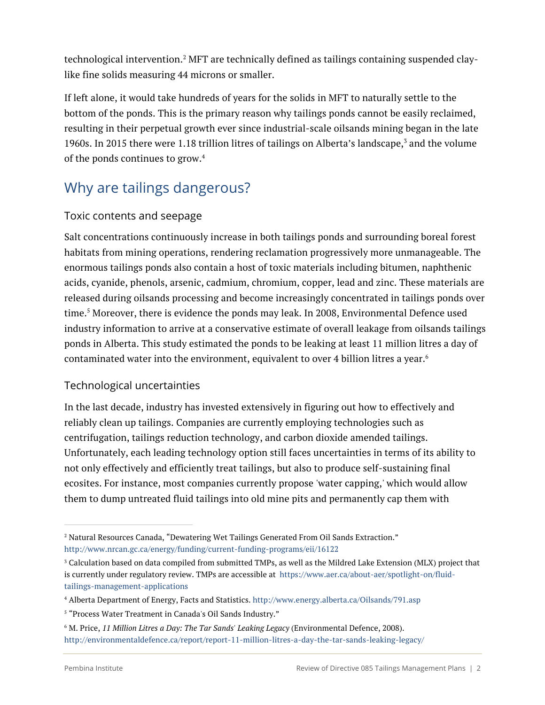technological intervention.<sup>2</sup> MFT are technically defined as tailings containing suspended claylike fine solids measuring 44 microns or smaller.

If left alone, it would take hundreds of years for the solids in MFT to naturally settle to the bottom of the ponds. This is the primary reason why tailings ponds cannot be easily reclaimed, resulting in their perpetual growth ever since industrial-scale oilsands mining began in the late 1960s. In 2015 there were 1.18 trillion litres of tailings on Alberta's landscape, <sup>3</sup> and the volume of the ponds continues to grow. 4

### Why are tailings dangerous?

#### Toxic contents and seepage

Salt concentrations continuously increase in both tailings ponds and surrounding boreal forest habitats from mining operations, rendering reclamation progressively more unmanageable. The enormous tailings ponds also contain a host of toxic materials including bitumen, naphthenic acids, cyanide, phenols, arsenic, cadmium, chromium, copper, lead and zinc. These materials are released during oilsands processing and become increasingly concentrated in tailings ponds over time.<sup>5</sup> Moreover, there is evidence the ponds may leak. In 2008, Environmental Defence used industry information to arrive at a conservative estimate of overall leakage from oilsands tailings ponds in Alberta. This study estimated the ponds to be leaking at least 11 million litres a day of contaminated water into the environment, equivalent to over 4 billion litres a year. $^6$ 

### Technological uncertainties

In the last decade, industry has invested extensively in figuring out how to effectively and reliably clean up tailings. Companies are currently employing technologies such as centrifugation, tailings reduction technology, and carbon dioxide amended tailings. Unfortunately, each leading technology option still faces uncertainties in terms of its ability to not only effectively and efficiently treat tailings, but also to produce self-sustaining final ecosites. For instance, most companies currently propose 'water capping,' which would allow them to dump untreated fluid tailings into old mine pits and permanently cap them with

<sup>2</sup> Natural Resources Canada, "Dewatering Wet Tailings Generated From Oil Sands Extraction." http://www.nrcan.gc.ca/energy/funding/current-funding-programs/eii/16122

<sup>3</sup> Calculation based on data compiled from submitted TMPs, as well as the Mildred Lake Extension (MLX) project that is currently under regulatory review. TMPs are accessible at https://www.aer.ca/about-aer/spotlight-on/fluidtailings-management-applications

<sup>4</sup> Alberta Department of Energy, Facts and Statistics. http://www.energy.alberta.ca/Oilsands/791.asp

<sup>5</sup> "Process Water Treatment in Canada's Oil Sands Industry."

<sup>6</sup> M. Price, *11 Million Litres a Day: The Tar Sands' Leaking Legacy* (Environmental Defence, 2008). http://environmentaldefence.ca/report/report-11-million-litres-a-day-the-tar-sands-leaking-legacy/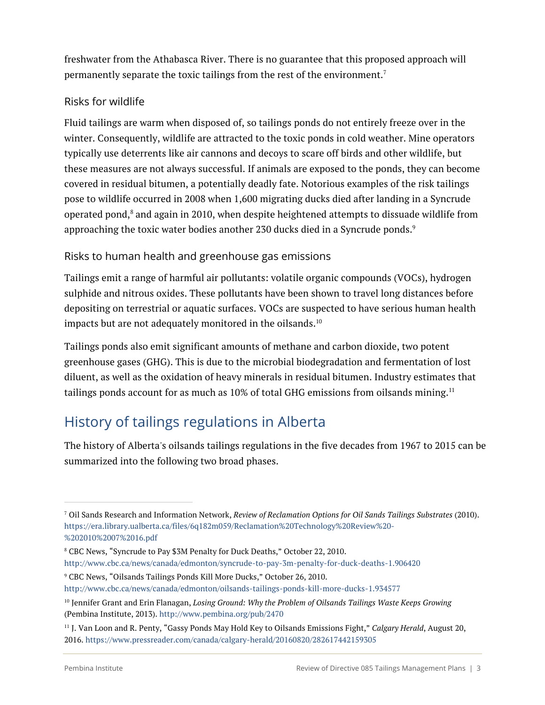freshwater from the Athabasca River. There is no guarantee that this proposed approach will permanently separate the toxic tailings from the rest of the environment.7

### Risks for wildlife

Fluid tailings are warm when disposed of, so tailings ponds do not entirely freeze over in the winter. Consequently, wildlife are attracted to the toxic ponds in cold weather. Mine operators typically use deterrents like air cannons and decoys to scare off birds and other wildlife, but these measures are not always successful. If animals are exposed to the ponds, they can become covered in residual bitumen, a potentially deadly fate. Notorious examples of the risk tailings pose to wildlife occurred in 2008 when 1,600 migrating ducks died after landing in a Syncrude operated pond, ${}^{8}$  and again in 2010, when despite heightened attempts to dissuade wildlife from approaching the toxic water bodies another 230 ducks died in a Syncrude ponds. $^{\rm 9}$ 

### Risks to human health and greenhouse gas emissions

Tailings emit a range of harmful air pollutants: volatile organic compounds (VOCs), hydrogen sulphide and nitrous oxides. These pollutants have been shown to travel long distances before depositing on terrestrial or aquatic surfaces. VOCs are suspected to have serious human health impacts but are not adequately monitored in the oilsands. $^{\rm 10}$ 

Tailings ponds also emit significant amounts of methane and carbon dioxide, two potent greenhouse gases (GHG). This is due to the microbial biodegradation and fermentation of lost diluent, as well as the oxidation of heavy minerals in residual bitumen. Industry estimates that tailings ponds account for as much as 10% of total GHG emissions from oilsands mining. $^{\rm 11}$ 

### History of tailings regulations in Alberta

The history of Alberta's oilsands tailings regulations in the five decades from 1967 to 2015 can be summarized into the following two broad phases.

http://www.cbc.ca/news/canada/edmonton/syncrude-to-pay-3m-penalty-for-duck-deaths-1.906420

<sup>7</sup> Oil Sands Research and Information Network, *Review of Reclamation Options for Oil Sands Tailings Substrates* (2010). https://era.library.ualberta.ca/files/6q182m059/Reclamation%20Technology%20Review%20- %202010%2007%2016.pdf

<sup>8</sup> CBC News, "Syncrude to Pay \$3M Penalty for Duck Deaths," October 22, 2010.

<sup>9</sup> CBC News, "Oilsands Tailings Ponds Kill More Ducks," October 26, 2010.

http://www.cbc.ca/news/canada/edmonton/oilsands-tailings-ponds-kill-more-ducks-1.934577

<sup>10</sup> Jennifer Grant and Erin Flanagan, *Losing Ground: Why the Problem of Oilsands Tailings Waste Keeps Growing* (Pembina Institute, 2013). http://www.pembina.org/pub/2470

<sup>11</sup> J. Van Loon and R. Penty, "Gassy Ponds May Hold Key to Oilsands Emissions Fight," *Calgary Herald*, August 20, 2016. https://www.pressreader.com/canada/calgary-herald/20160820/282617442159305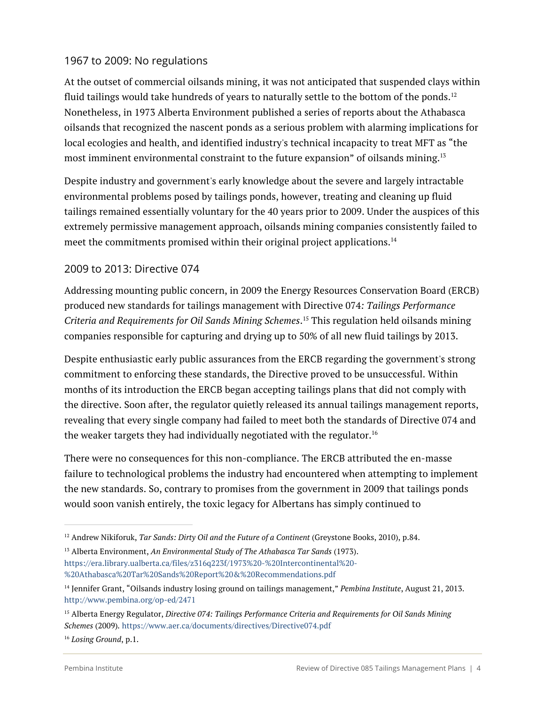#### 1967 to 2009: No regulations

At the outset of commercial oilsands mining, it was not anticipated that suspended clays within fluid tailings would take hundreds of years to naturally settle to the bottom of the ponds.<sup>12</sup> Nonetheless, in 1973 Alberta Environment published a series of reports about the Athabasca oilsands that recognized the nascent ponds as a serious problem with alarming implications for local ecologies and health, and identified industry's technical incapacity to treat MFT as "the most imminent environmental constraint to the future expansion" of oilsands mining.13

Despite industry and government's early knowledge about the severe and largely intractable environmental problems posed by tailings ponds, however, treating and cleaning up fluid tailings remained essentially voluntary for the 40 years prior to 2009. Under the auspices of this extremely permissive management approach, oilsands mining companies consistently failed to meet the commitments promised within their original project applications.<sup>14</sup>

### 2009 to 2013: Directive 074

Addressing mounting public concern, in 2009 the Energy Resources Conservation Board (ERCB) produced new standards for tailings management with Directive 074*: Tailings Performance Criteria and Requirements for Oil Sands Mining Schemes*. <sup>15</sup> This regulation held oilsands mining companies responsible for capturing and drying up to 50% of all new fluid tailings by 2013.

Despite enthusiastic early public assurances from the ERCB regarding the government's strong commitment to enforcing these standards, the Directive proved to be unsuccessful. Within months of its introduction the ERCB began accepting tailings plans that did not comply with the directive. Soon after, the regulator quietly released its annual tailings management reports, revealing that every single company had failed to meet both the standards of Directive 074 and the weaker targets they had individually negotiated with the regulator.<sup>16</sup>

There were no consequences for this non-compliance. The ERCB attributed the en-masse failure to technological problems the industry had encountered when attempting to implement the new standards. So, contrary to promises from the government in 2009 that tailings ponds would soon vanish entirely, the toxic legacy for Albertans has simply continued to

<sup>12</sup> Andrew Nikiforuk, *Tar Sands: Dirty Oil and the Future of a Continent* (Greystone Books, 2010), p.84.

<sup>13</sup> Alberta Environment, *An Environmental Study of The Athabasca Tar Sands* (1973). https://era.library.ualberta.ca/files/z316q223f/1973%20-%20Intercontinental%20- %20Athabasca%20Tar%20Sands%20Report%20&%20Recommendations.pdf

<sup>14</sup> Jennifer Grant, "Oilsands industry losing ground on tailings management," *Pembina Institute*, August 21, 2013. http://www.pembina.org/op-ed/2471

<sup>15</sup> Alberta Energy Regulator, *Directive 074: Tailings Performance Criteria and Requirements for Oil Sands Mining Schemes* (2009)*.* https://www.aer.ca/documents/directives/Directive074.pdf

<sup>16</sup> *Losing Ground*, p.1.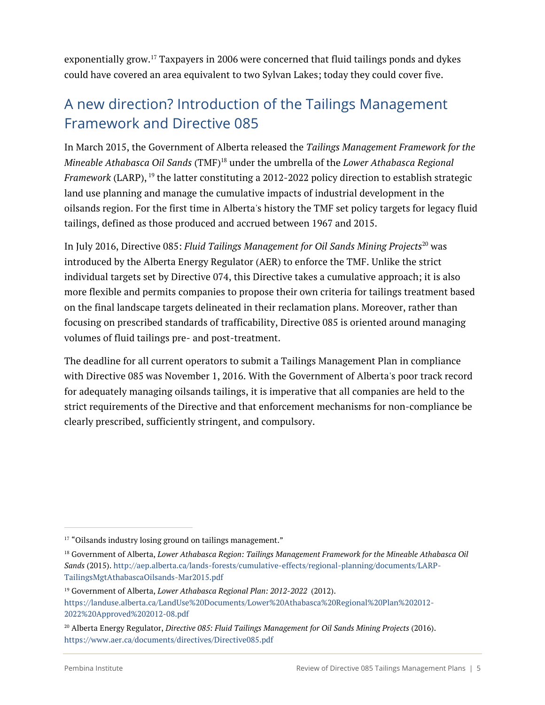exponentially grow.17 Taxpayers in 2006 were concerned that fluid tailings ponds and dykes could have covered an area equivalent to two Sylvan Lakes; today they could cover five.

### A new direction? Introduction of the Tailings Management Framework and Directive 085

In March 2015, the Government of Alberta released the *Tailings Management Framework for the Mineable Athabasca Oil Sands* (TMF)18 under the umbrella of the *Lower Athabasca Regional Framework* (LARP), <sup>19</sup> the latter constituting a 2012-2022 policy direction to establish strategic land use planning and manage the cumulative impacts of industrial development in the oilsands region. For the first time in Alberta's history the TMF set policy targets for legacy fluid tailings, defined as those produced and accrued between 1967 and 2015.

In July 2016, Directive 085: *Fluid Tailings Management for Oil Sands Mining Projects*<sup>20</sup> was introduced by the Alberta Energy Regulator (AER) to enforce the TMF. Unlike the strict individual targets set by Directive 074, this Directive takes a cumulative approach; it is also more flexible and permits companies to propose their own criteria for tailings treatment based on the final landscape targets delineated in their reclamation plans. Moreover, rather than focusing on prescribed standards of trafficability, Directive 085 is oriented around managing volumes of fluid tailings pre- and post-treatment.

The deadline for all current operators to submit a Tailings Management Plan in compliance with Directive 085 was November 1, 2016. With the Government of Alberta's poor track record for adequately managing oilsands tailings, it is imperative that all companies are held to the strict requirements of the Directive and that enforcement mechanisms for non-compliance be clearly prescribed, sufficiently stringent, and compulsory.

<sup>&</sup>lt;sup>17</sup> "Oilsands industry losing ground on tailings management."

<sup>18</sup> Government of Alberta, *Lower Athabasca Region: Tailings Management Framework for the Mineable Athabasca Oil Sands* (2015). http://aep.alberta.ca/lands-forests/cumulative-effects/regional-planning/documents/LARP-TailingsMgtAthabascaOilsands-Mar2015.pdf

<sup>19</sup> Government of Alberta, *Lower Athabasca Regional Plan: 2012-2022* (2012). https://landuse.alberta.ca/LandUse%20Documents/Lower%20Athabasca%20Regional%20Plan%202012- 2022%20Approved%202012-08.pdf

<sup>20</sup> Alberta Energy Regulator, *Directive 085: Fluid Tailings Management for Oil Sands Mining Projects* (2016). https://www.aer.ca/documents/directives/Directive085.pdf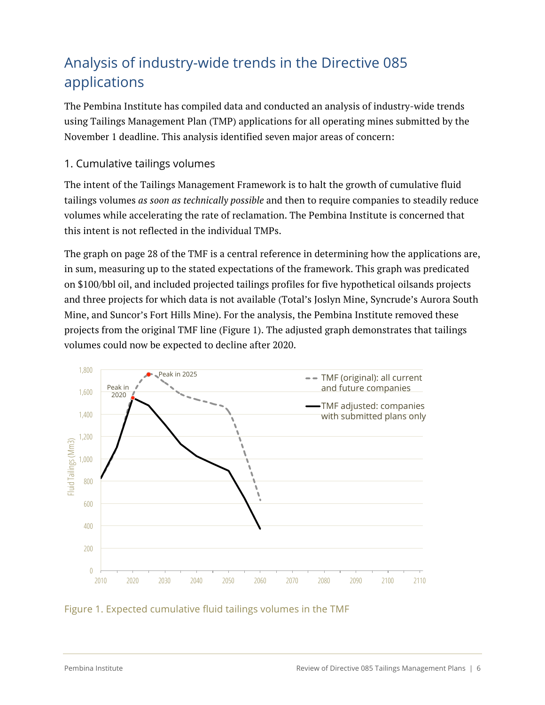### Analysis of industry-wide trends in the Directive 085 applications

The Pembina Institute has compiled data and conducted an analysis of industry-wide trends using Tailings Management Plan (TMP) applications for all operating mines submitted by the November 1 deadline. This analysis identified seven major areas of concern:

### 1. Cumulative tailings volumes

The intent of the Tailings Management Framework is to halt the growth of cumulative fluid tailings volumes *as soon as technically possible* and then to require companies to steadily reduce volumes while accelerating the rate of reclamation. The Pembina Institute is concerned that this intent is not reflected in the individual TMPs.

The graph on page 28 of the TMF is a central reference in determining how the applications are, in sum, measuring up to the stated expectations of the framework. This graph was predicated on \$100/bbl oil, and included projected tailings profiles for five hypothetical oilsands projects and three projects for which data is not available (Total's Joslyn Mine, Syncrude's Aurora South Mine, and Suncor's Fort Hills Mine). For the analysis, the Pembina Institute removed these projects from the original TMF line (Figure 1). The adjusted graph demonstrates that tailings volumes could now be expected to decline after 2020.



#### Figure 1. Expected cumulative fluid tailings volumes in the TMF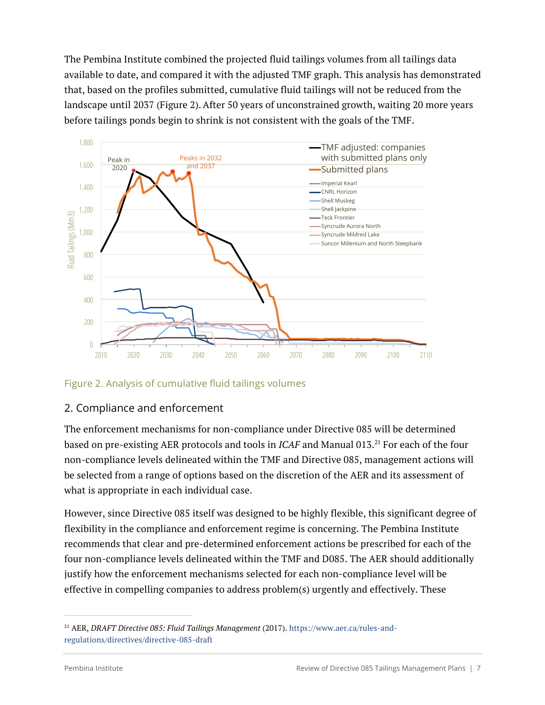The Pembina Institute combined the projected fluid tailings volumes from all tailings data available to date, and compared it with the adjusted TMF graph. This analysis has demonstrated that, based on the profiles submitted, cumulative fluid tailings will not be reduced from the landscape until 2037 (Figure 2).After 50 years of unconstrained growth, waiting 20 more years before tailings ponds begin to shrink is not consistent with the goals of the TMF.



Figure 2. Analysis of cumulative fluid tailings volumes

### 2. Compliance and enforcement

The enforcement mechanisms for non-compliance under Directive 085 will be determined based on pre-existing AER protocols and tools in *ICAF* and Manual 013.<sup>21</sup> For each of the four non-compliance levels delineated within the TMF and Directive 085, management actions will be selected from a range of options based on the discretion of the AER and its assessment of what is appropriate in each individual case.

However, since Directive 085 itself was designed to be highly flexible, this significant degree of flexibility in the compliance and enforcement regime is concerning. The Pembina Institute recommends that clear and pre-determined enforcement actions be prescribed for each of the four non-compliance levels delineated within the TMF and D085. The AER should additionally justify how the enforcement mechanisms selected for each non-compliance level will be effective in compelling companies to address problem(s) urgently and effectively. These

<sup>21</sup> AER, *DRAFT Directive 085: Fluid Tailings Management* (2017). https://www.aer.ca/rules-andregulations/directives/directive-085-draft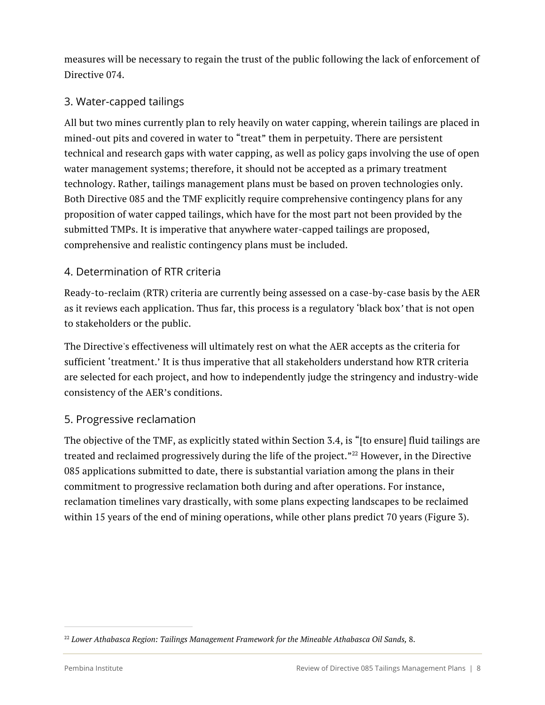measures will be necessary to regain the trust of the public following the lack of enforcement of Directive 074.

### 3. Water-capped tailings

All but two mines currently plan to rely heavily on water capping, wherein tailings are placed in mined-out pits and covered in water to "treat" them in perpetuity. There are persistent technical and research gaps with water capping, as well as policy gaps involving the use of open water management systems; therefore, it should not be accepted as a primary treatment technology. Rather, tailings management plans must be based on proven technologies only. Both Directive 085 and the TMF explicitly require comprehensive contingency plans for any proposition of water capped tailings, which have for the most part not been provided by the submitted TMPs. It is imperative that anywhere water-capped tailings are proposed, comprehensive and realistic contingency plans must be included.

### 4. Determination of RTR criteria

Ready-to-reclaim (RTR) criteria are currently being assessed on a case-by-case basis by the AER as it reviews each application. Thus far, this process is a regulatory 'black box*'* that is not open to stakeholders or the public.

The Directive's effectiveness will ultimately rest on what the AER accepts as the criteria for sufficient 'treatment.' It is thus imperative that all stakeholders understand how RTR criteria are selected for each project, and how to independently judge the stringency and industry-wide consistency of the AER's conditions.

### 5. Progressive reclamation

The objective of the TMF, as explicitly stated within Section 3.4, is "[to ensure] fluid tailings are treated and reclaimed progressively during the life of the project."<sup>22</sup> However, in the Directive 085 applications submitted to date, there is substantial variation among the plans in their commitment to progressive reclamation both during and after operations. For instance, reclamation timelines vary drastically, with some plans expecting landscapes to be reclaimed within 15 years of the end of mining operations, while other plans predict 70 years (Figure 3).

<sup>22</sup> *Lower Athabasca Region: Tailings Management Framework for the Mineable Athabasca Oil Sands,* 8.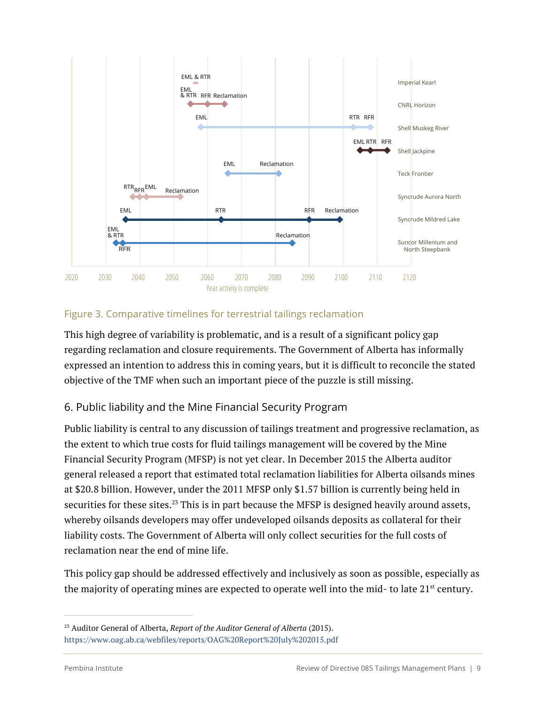

#### Figure 3. Comparative timelines for terrestrial tailings reclamation

This high degree of variability is problematic, and is a result of a significant policy gap regarding reclamation and closure requirements. The Government of Alberta has informally expressed an intention to address this in coming years, but it is difficult to reconcile the stated objective of the TMF when such an important piece of the puzzle is still missing.

### 6. Public liability and the Mine Financial Security Program

Public liability is central to any discussion of tailings treatment and progressive reclamation, as the extent to which true costs for fluid tailings management will be covered by the Mine Financial Security Program (MFSP) is not yet clear. In December 2015 the Alberta auditor general released a report that estimated total reclamation liabilities for Alberta oilsands mines at \$20.8 billion. However, under the 2011 MFSP only \$1.57 billion is currently being held in securities for these sites.<sup>23</sup> This is in part because the MFSP is designed heavily around assets, whereby oilsands developers may offer undeveloped oilsands deposits as collateral for their liability costs. The Government of Alberta will only collect securities for the full costs of reclamation near the end of mine life.

This policy gap should be addressed effectively and inclusively as soon as possible, especially as the majority of operating mines are expected to operate well into the mid- to late 21<sup>st</sup> century.

<sup>23</sup> Auditor General of Alberta, *Report of the Auditor General of Alberta* (2015). https://www.oag.ab.ca/webfiles/reports/OAG%20Report%20July%202015.pdf